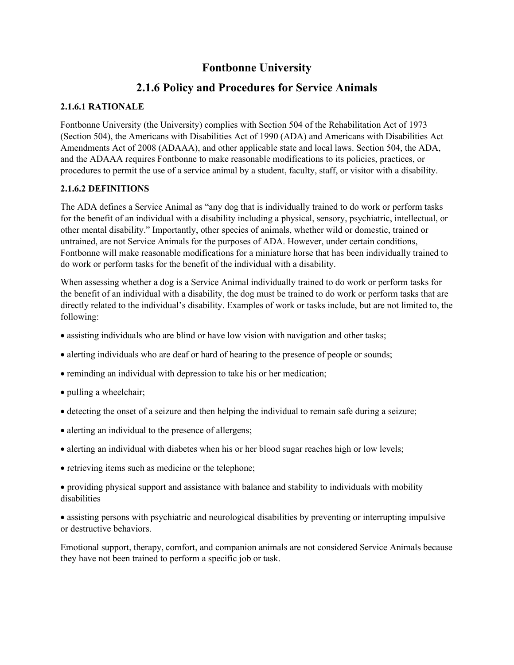# **Fontbonne University**

# **2.1.6 Policy and Procedures for Service Animals**

## **2.1.6.1 RATIONALE**

Fontbonne University (the University) complies with Section 504 of the Rehabilitation Act of 1973 (Section 504), the Americans with Disabilities Act of 1990 (ADA) and Americans with Disabilities Act Amendments Act of 2008 (ADAAA), and other applicable state and local laws. Section 504, the ADA, and the ADAAA requires Fontbonne to make reasonable modifications to its policies, practices, or procedures to permit the use of a service animal by a student, faculty, staff, or visitor with a disability.

#### **2.1.6.2 DEFINITIONS**

The ADA defines a Service Animal as "any dog that is individually trained to do work or perform tasks for the benefit of an individual with a disability including a physical, sensory, psychiatric, intellectual, or other mental disability." Importantly, other species of animals, whether wild or domestic, trained or untrained, are not Service Animals for the purposes of ADA. However, under certain conditions, Fontbonne will make reasonable modifications for a miniature horse that has been individually trained to do work or perform tasks for the benefit of the individual with a disability.

When assessing whether a dog is a Service Animal individually trained to do work or perform tasks for the benefit of an individual with a disability, the dog must be trained to do work or perform tasks that are directly related to the individual's disability. Examples of work or tasks include, but are not limited to, the following:

- assisting individuals who are blind or have low vision with navigation and other tasks;
- alerting individuals who are deaf or hard of hearing to the presence of people or sounds;
- reminding an individual with depression to take his or her medication;
- pulling a wheelchair;
- detecting the onset of a seizure and then helping the individual to remain safe during a seizure;
- alerting an individual to the presence of allergens;
- alerting an individual with diabetes when his or her blood sugar reaches high or low levels;
- retrieving items such as medicine or the telephone;
- providing physical support and assistance with balance and stability to individuals with mobility disabilities

• assisting persons with psychiatric and neurological disabilities by preventing or interrupting impulsive or destructive behaviors.

Emotional support, therapy, comfort, and companion animals are not considered Service Animals because they have not been trained to perform a specific job or task.